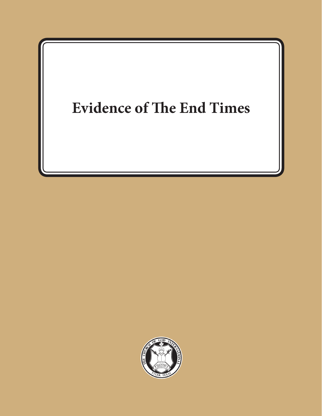## **Evidence of The End Times**

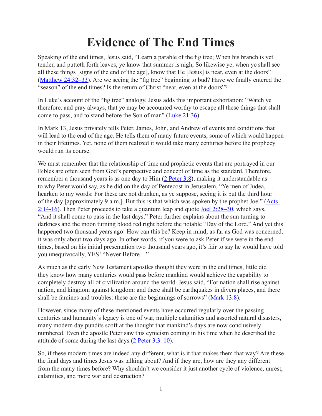## **Evidence of The End Times**

Speaking of the end times, Jesus said, "Learn a parable of the fig tree; When his branch is yet tender, and putteth forth leaves, ye know that summer is nigh; So likewise ye, when ye shall see all these things [signs of the end of the age], know that He [Jesus] is near, even at the doors" (Matthew 24:32–33). Are we seeing the "fig tree" beginning to bud? Have we finally entered the "season" of the end times? Is the return of Christ "near, even at the doors"?

In Luke's account of the "fig tree" analogy, Jesus adds this important exhortation: "Watch ye therefore, and pray always, that ye may be accounted worthy to escape all these things that shall come to pass, and to stand before the Son of man" (Luke 21:36).

In Mark 13, Jesus privately tells Peter, James, John, and Andrew of events and conditions that will lead to the end of the age. He tells them of many future events, some of which would happen in their lifetimes. Yet, none of them realized it would take many centuries before the prophecy would run its course.

We must remember that the relationship of time and prophetic events that are portrayed in our Bibles are often seen from God's perspective and concept of time as the standard. Therefore, remember a thousand years is as one day to Him (2 Peter 3:8), making it understandable as to why Peter would say, as he did on the day of Pentecost in Jerusalem, "Ye men of Judea, … hearken to my words: For these are not drunken, as ye suppose, seeing it is but the third hour of the day [approximately 9 a.m.]. But this is that which was spoken by the prophet Joel" (Acts 2:14-16). Then Peter proceeds to take a quantum leap and quote Joel 2:28–30, which says, "And it shall come to pass in the last days." Peter further explains about the sun turning to darkness and the moon turning blood red right before the notable "Day of the Lord." And yet this happened two thousand years ago! How can this be? Keep in mind; as far as God was concerned, it was only about two days ago. In other words, if you were to ask Peter if we were in the end times, based on his initial presentation two thousand years ago, it's fair to say he would have told you unequivocally, YES! "Never Before…"

As much as the early New Testament apostles thought they were in the end times, little did they know how many centuries would pass before mankind would achieve the capability to completely destroy all of civilization around the world. Jesus said, "For nation shall rise against nation, and kingdom against kingdom: and there shall be earthquakes in divers places, and there shall be famines and troubles: these are the beginnings of sorrows" (Mark 13:8).

However, since many of these mentioned events have occurred regularly over the passing centuries and humanity's legacy is one of war, multiple calamities and assorted natural disasters, many modern day pundits scoff at the thought that mankind's days are now conclusively numbered. Even the apostle Peter saw this cynicism coming in his time when he described the attitude of some during the last days (2 Peter 3:3–10).

So, if these modern times are indeed any different, what is it that makes them that way? Are these the final days and times Jesus was talking about? And if they are, how are they any different from the many times before? Why shouldn't we consider it just another cycle of violence, unrest, calamities, and more war and destruction?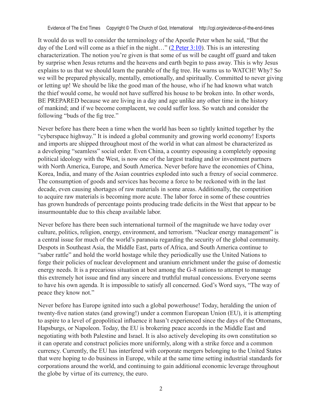Evidence of The End Times Copyright © The Church of God, International http://cgi.org/evidence-of-the-end-times

It would do us well to consider the terminology of the Apostle Peter when he said, "But the day of the Lord will come as a thief in the night..." (2 Peter  $3:10$ ). This is an interesting characterization. The notion you're given is that some of us will be caught off guard and taken by surprise when Jesus returns and the heavens and earth begin to pass away. This is why Jesus explains to us that we should learn the parable of the fig tree. He warns us to WATCH! Why? So we will be prepared physically, mentally, emotionally, and spiritually. Committed to never giving or letting up! We should be like the good man of the house, who if he had known what watch the thief would come, he would not have suffered his house to be broken into. In other words, BE PREPARED because we are living in a day and age unlike any other time in the history of mankind; and if we become complacent, we could suffer loss. So watch and consider the following "buds of the fig tree."

Never before has there been a time when the world has been so tightly knitted together by the "cyberspace highway." It is indeed a global community and growing world economy! Exports and imports are shipped throughout most of the world in what can almost be characterized as a developing "seamless" social order. Even China, a country espousing a completely opposing political ideology with the West, is now one of the largest trading and/or investment partners with North America, Europe, and South America. Never before have the economies of China, Korea, India, and many of the Asian countries exploded into such a frenzy of social commerce. The consumption of goods and services has become a force to be reckoned with in the last decade, even causing shortages of raw materials in some areas. Additionally, the competition to acquire raw materials is becoming more acute. The labor force in some of these countries has grown hundreds of percentage points producing trade deficits in the West that appear to be insurmountable due to this cheap available labor.

Never before has there been such international turmoil of the magnitude we have today over culture, politics, religion, energy, environment, and terrorism. "Nuclear energy management" is a central issue for much of the world's paranoia regarding the security of the global community. Despots in Southeast Asia, the Middle East, parts of Africa, and South America continue to "saber rattle" and hold the world hostage while they periodically use the United Nations to forge their policies of nuclear development and uranium enrichment under the guise of domestic energy needs. It is a precarious situation at best among the G-8 nations to attempt to manage this extremely hot issue and find any sincere and truthful mutual concessions. Everyone seems to have his own agenda. It is impossible to satisfy all concerned. God's Word says, "The way of peace they know not."

Never before has Europe ignited into such a global powerhouse! Today, heralding the union of twenty-five nation states (and growing!) under a common European Union (EU), it is attempting to aspire to a level of geopolitical influence it hasn't experienced since the days of the Ottomans, Hapsburgs, or Napoleon. Today, the EU is brokering peace accords in the Middle East and negotiating with both Palestine and Israel. It is also actively developing its own constitution so it can operate and construct policies more uniformly, along with a strike force and a common currency. Currently, the EU has interfered with corporate mergers belonging to the United States that were hoping to do business in Europe, while at the same time setting industrial standards for corporations around the world, and continuing to gain additional economic leverage throughout the globe by virtue of its currency, the euro.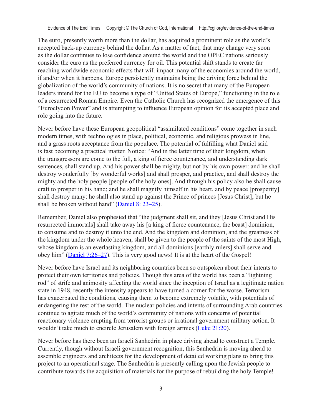Evidence of The End Times Copyright © The Church of God, International http://cgi.org/evidence-of-the-end-times

The euro, presently worth more than the dollar, has acquired a prominent role as the world's accepted back-up currency behind the dollar. As a matter of fact, that may change very soon as the dollar continues to lose confidence around the world and the OPEC nations seriously consider the euro as the preferred currency for oil. This potential shift stands to create far reaching worldwide economic effects that will impact many of the economies around the world, if and/or when it happens. Europe persistently maintains being the driving force behind the globalization of the world's community of nations. It is no secret that many of the European leaders intend for the EU to become a type of "United States of Europe," functioning in the role of a resurrected Roman Empire. Even the Catholic Church has recognized the emergence of this "Euroclydon Power" and is attempting to influence European opinion for its accepted place and role going into the future.

Never before have these European geopolitical "assimilated conditions" come together in such modern times, with technologies in place, political, economic, and religious prowess in line, and a grass roots acceptance from the populace. The potential of fulfilling what Daniel said is fast becoming a practical matter. Notice: "And in the latter time of their kingdom, when the transgressors are come to the full, a king of fierce countenance, and understanding dark sentences, shall stand up. And his power shall be mighty, but not by his own power: and he shall destroy wonderfully [by wonderful works] and shall prosper, and practice, and shall destroy the mighty and the holy people [people of the holy ones]. And through his policy also he shall cause craft to prosper in his hand; and he shall magnify himself in his heart, and by peace [prosperity] shall destroy many: he shall also stand up against the Prince of princes [Jesus Christ]; but he shall be broken without hand" (Daniel 8: 23–25).

Remember, Daniel also prophesied that "the judgment shall sit, and they [Jesus Christ and His resurrected immortals] shall take away his [a king of fierce countenance, the beast] dominion, to consume and to destroy it unto the end. And the kingdom and dominion, and the greatness of the kingdom under the whole heaven, shall be given to the people of the saints of the most High, whose kingdom is an everlasting kingdom, and all dominions [earthly rulers] shall serve and obey him" (Daniel 7:26–27). This is very good news! It is at the heart of the Gospel!

Never before have Israel and its neighboring countries been so outspoken about their intents to protect their own territories and policies. Though this area of the world has been a "lightning rod" of strife and animosity affecting the world since the inception of Israel as a legitimate nation state in 1948, recently the intensity appears to have turned a corner for the worse. Terrorism has exacerbated the conditions, causing them to become extremely volatile, with potentials of endangering the rest of the world. The nuclear policies and intents of surrounding Arab countries continue to agitate much of the world's community of nations with concerns of potential reactionary violence erupting from terrorist groups or irrational government military action. It wouldn't take much to encircle Jerusalem with foreign armies (Luke 21:20).

Never before has there been an Israeli Sanhedrin in place driving ahead to construct a Temple. Currently, though without Israeli government recognition, this Sanhedrin is moving ahead to assemble engineers and architects for the development of detailed working plans to bring this project to an operational stage. The Sanhedrin is presently calling upon the Jewish people to contribute towards the acquisition of materials for the purpose of rebuilding the holy Temple!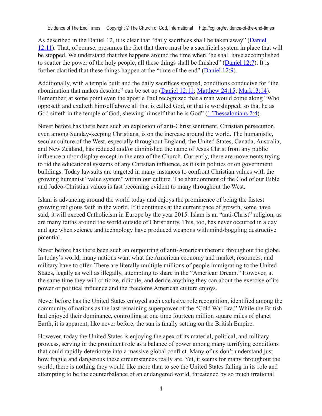Evidence of The End Times Copyright © The Church of God, International http://cgi.org/evidence-of-the-end-times

As described in the Daniel 12, it is clear that "daily sacrifices shall be taken away" (Daniel 12:11). That, of course, presumes the fact that there must be a sacrificial system in place that will be stopped. We understand that this happens around the time when "he shall have accomplished to scatter the power of the holy people, all these things shall be finished" (Daniel 12:7). It is further clarified that these things happen at the "time of the end" (Daniel 12:9).

Additionally, with a temple built and the daily sacrifices stopped, conditions conducive for "the abomination that makes desolate" can be set up (Daniel 12:11; Matthew 24:15; Mark13:14). Remember, at some point even the apostle Paul recognized that a man would come along "Who opposeth and exalteth himself above all that is called God, or that is worshipped; so that he as God sitteth in the temple of God, shewing himself that he is God" (1 Thessalonians 2:4).

Never before has there been such an explosion of anti-Christ sentiment. Christian persecution, even among Sunday-keeping Christians, is on the increase around the world. The humanistic, secular culture of the West, especially throughout England, the United States, Canada, Australia, and New Zealand, has reduced and/or diminished the name of Jesus Christ from any public influence and/or display except in the area of the Church. Currently, there are movements trying to rid the educational systems of any Christian influence, as it is in politics or on government buildings. Today lawsuits are targeted in many instances to confront Christian values with the growing humanist "value system" within our culture. The abandonment of the God of our Bible and Judeo-Christian values is fast becoming evident to many throughout the West.

Islam is advancing around the world today and enjoys the prominence of being the fastest growing religious faith in the world. If it continues at the current pace of growth, some have said, it will exceed Catholicism in Europe by the year 2015. Islam is an "anti-Christ" religion, as are many faiths around the world outside of Christianity. This, too, has never occurred in a day and age when science and technology have produced weapons with mind-boggling destructive potential.

Never before has there been such an outpouring of anti-American rhetoric throughout the globe. In today's world, many nations want what the American economy and market, resources, and military have to offer. There are literally multiple millions of people immigrating to the United States, legally as well as illegally, attempting to share in the "American Dream." However, at the same time they will criticize, ridicule, and deride anything they can about the exercise of its power or political influence and the freedoms American culture enjoys.

Never before has the United States enjoyed such exclusive role recognition, identified among the community of nations as the last remaining superpower of the "Cold War Era." While the British had enjoyed their dominance, controlling at one time fourteen million square miles of planet Earth, it is apparent, like never before, the sun is finally setting on the British Empire.

However, today the United States is enjoying the apex of its material, political, and military prowess, serving in the prominent role as a balance of power among many terrifying conditions that could rapidly deteriorate into a massive global conflict. Many of us don't understand just how fragile and dangerous these circumstances really are. Yet, it seems for many throughout the world, there is nothing they would like more than to see the United States failing in its role and attempting to be the counterbalance of an endangered world, threatened by so much irrational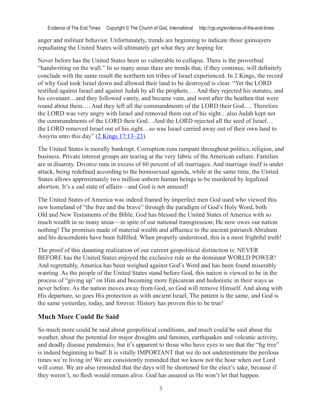anger and militant behavior. Unfortunately, trends are beginning to indicate those gainsayers repudiating the United States will ultimately get what they are hoping for.

Never before has the United States been so vulnerable to collapse. There is the proverbial "handwriting on the wall." In so many areas there are trends that, if they continue, will definitely conclude with the same result the northern ten tribes of Israel experienced. In 2 Kings, the record of why God took Israel down and allowed their land to be destroyed is clear. "Yet the LORD testified against Israel and against Judah by all the prophets…. And they rejected his statutes, and his covenant...and they followed vanity, and became vain, and went after the heathen that were round about them…. And they left all the commandments of the LORD their God…. Therefore the LORD was very angry with Israel and removed them out of his sight…also Judah kept not the commandments of the LORD their God…And the LORD rejected all the seed of Israel… the LORD removed Israel out of his sight…so was Israel carried away out of their own land to Assyria unto this day" (2 Kings 17:13–23).

The United States is morally bankrupt. Corruption runs rampant throughout politics, religion, and business. Private interest groups are tearing at the very fabric of the American culture. Families are in disarray. Divorce runs in excess of 60 percent of all marriages. And marriage itself is under attack, being redefined according to the homosexual agenda, while at the same time, the United States allows approximately two million unborn human beings to be murdered by legalized abortion. It's a sad state of affairs—and God is not amused!

The United States of America was indeed framed by imperfect men God used who viewed this new homeland of "the free and the brave" through the paradigm of God's Holy Word, both Old and New Testaments of the Bible. God has blessed the United States of America with so much wealth in so many areas—in spite of our national transgression; He now owes our nation nothing! The promises made of material wealth and affluence to the ancient patriarch Abraham and his descendents have been fulfilled. When properly understood, this is a most frightful truth!

The proof of this daunting realization of our current geopolitical distinction is: NEVER BEFORE has the United States enjoyed the exclusive role as the dominant WORLD POWER! And regrettably, America has been weighed against God's Word and has been found miserably wanting. As the people of the United States stand before God, this nation is viewed to be in the process of "giving up" on Him and becoming more Epicurean and hedonistic in their ways as never before. As the nation moves away from God, so God will remove Himself. And along with His departure, so goes His protection as with ancient Israel. The pattern is the same, and God is the same yesterday, today, and forever. History has proven this to be true!

## **Much More Could Be Said**

So much more could be said about geopolitical conditions, and much could be said about the weather, about the potential for major droughts and famines, earthquakes and volcanic activity, and deadly disease pandemics; but it's apparent to those who have eyes to see that the "fig tree" is indeed beginning to bud! It is vitally IMPORTANT that we do not underestimate the perilous times we're living in! We are consistently reminded that we know not the hour when our Lord will come. We are also reminded that the days will be shortened for the elect's sake, because if they weren't, no flesh would remain alive. God has assured us He won't let that happen.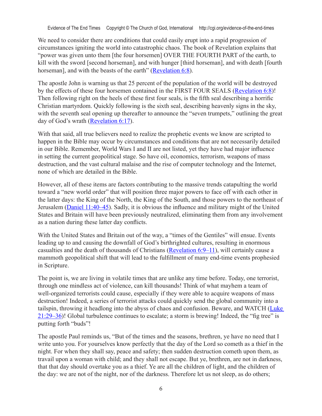We need to consider there are conditions that could easily erupt into a rapid progression of circumstances igniting the world into catastrophic chaos. The book of Revelation explains that "power was given unto them [the four horsemen] OVER THE FOURTH PART of the earth, to kill with the sword [second horseman], and with hunger [third horseman], and with death [fourth horseman], and with the beasts of the earth" (Revelation 6:8).

The apostle John is warning us that 25 percent of the population of the world will be destroyed by the effects of these four horsemen contained in the FIRST FOUR SEALS (Revelation 6:8)! Then following right on the heels of these first four seals, is the fifth seal describing a horrific Christian martyrdom. Quickly following is the sixth seal, describing heavenly signs in the sky, with the seventh seal opening up thereafter to announce the "seven trumpets," outlining the great day of God's wrath (Revelation 6:17).

With that said, all true believers need to realize the prophetic events we know are scripted to happen in the Bible may occur by circumstances and conditions that are not necessarily detailed in our Bible. Remember, World Wars I and II are not listed, yet they have had major influence in setting the current geopolitical stage. So have oil, economics, terrorism, weapons of mass destruction, and the vast cultural malaise and the rise of computer technology and the Internet, none of which are detailed in the Bible.

However, all of these items are factors contributing to the massive trends catapulting the world toward a "new world order" that will position three major powers to face off with each other in the latter days: the King of the North, the King of the South, and those powers to the northeast of Jerusalem (Daniel 11:40–45). Sadly, it is obvious the influence and military might of the United States and Britain will have been previously neutralized, eliminating them from any involvement as a nation during these latter day conflicts.

With the United States and Britain out of the way, a "times of the Gentiles" will ensue. Events leading up to and causing the downfall of God's birthrighted cultures, resulting in enormous casualties and the death of thousands of Christians (Revelation 6:9–11), will certainly cause a mammoth geopolitical shift that will lead to the fulfillment of many end-time events prophesied in Scripture.

The point is, we are living in volatile times that are unlike any time before. Today, one terrorist, through one mindless act of violence, can kill thousands! Think of what mayhem a team of well-organized terrorists could cause, especially if they were able to acquire weapons of mass destruction! Indeed, a series of terrorist attacks could quickly send the global community into a tailspin, throwing it headlong into the abyss of chaos and confusion. Beware, and WATCH (Luke 21:29–36)! Global turbulence continues to escalate; a storm is brewing! Indeed, the "fig tree" is putting forth "buds"!

The apostle Paul reminds us, "But of the times and the seasons, brethren, ye have no need that I write unto you. For yourselves know perfectly that the day of the Lord so cometh as a thief in the night. For when they shall say, peace and safety; then sudden destruction cometh upon them, as travail upon a woman with child; and they shall not escape. But ye, brethren, are not in darkness, that that day should overtake you as a thief. Ye are all the children of light, and the children of the day: we are not of the night, nor of the darkness. Therefore let us not sleep, as do others;